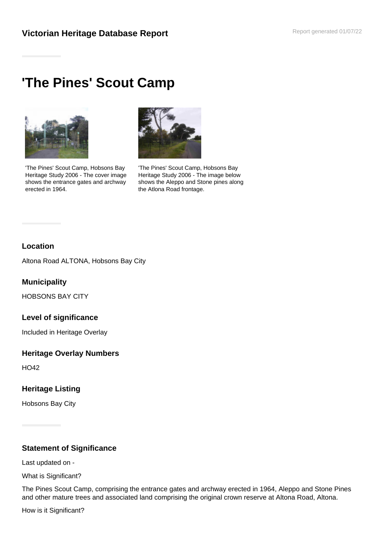## **Victorian Heritage Database Report <b>Report Additional Proper Parameter** Report generated 01/07/22

# **'The Pines' Scout Camp**



'The Pines' Scout Camp, Hobsons Bay Heritage Study 2006 - The cover image shows the entrance gates and archway erected in 1964.



'The Pines' Scout Camp, Hobsons Bay Heritage Study 2006 - The image below shows the Aleppo and Stone pines along the Atlona Road frontage.

#### **Location**

Altona Road ALTONA, Hobsons Bay City

### **Municipality**

HOBSONS BAY CITY

#### **Level of significance**

Included in Heritage Overlay

#### **Heritage Overlay Numbers**

HO42

#### **Heritage Listing**

Hobsons Bay City

#### **Statement of Significance**

Last updated on -

What is Significant?

The Pines Scout Camp, comprising the entrance gates and archway erected in 1964, Aleppo and Stone Pines and other mature trees and associated land comprising the original crown reserve at Altona Road, Altona.

How is it Significant?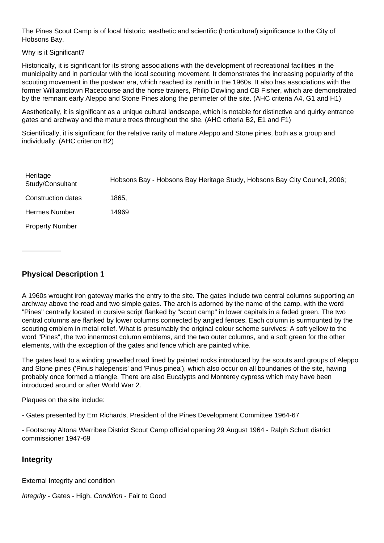The Pines Scout Camp is of local historic, aesthetic and scientific (horticultural) significance to the City of Hobsons Bay.

Why is it Significant?

Historically, it is significant for its strong associations with the development of recreational facilities in the municipality and in particular with the local scouting movement. It demonstrates the increasing popularity of the scouting movement in the postwar era, which reached its zenith in the 1960s. It also has associations with the former Williamstown Racecourse and the horse trainers, Philip Dowling and CB Fisher, which are demonstrated by the remnant early Aleppo and Stone Pines along the perimeter of the site. (AHC criteria A4, G1 and H1)

Aesthetically, it is significant as a unique cultural landscape, which is notable for distinctive and quirky entrance gates and archway and the mature trees throughout the site. (AHC criteria B2, E1 and F1)

Scientifically, it is significant for the relative rarity of mature Aleppo and Stone pines, both as a group and individually. (AHC criterion B2)

| Heritage<br>Study/Consultant | Hobsons Bay - Hobsons Bay Heritage Study, Hobsons Bay City Council, 2006; |
|------------------------------|---------------------------------------------------------------------------|
| Construction dates           | 1865,                                                                     |
| Hermes Number                | 14969                                                                     |
| <b>Property Number</b>       |                                                                           |

## **Physical Description 1**

A 1960s wrought iron gateway marks the entry to the site. The gates include two central columns supporting an archway above the road and two simple gates. The arch is adorned by the name of the camp, with the word "Pines" centrally located in cursive script flanked by "scout camp" in lower capitals in a faded green. The two central columns are flanked by lower columns connected by angled fences. Each column is surmounted by the scouting emblem in metal relief. What is presumably the original colour scheme survives: A soft yellow to the word "Pines", the two innermost column emblems, and the two outer columns, and a soft green for the other elements, with the exception of the gates and fence which are painted white.

The gates lead to a winding gravelled road lined by painted rocks introduced by the scouts and groups of Aleppo and Stone pines ('Pinus halepensis' and 'Pinus pinea'), which also occur on all boundaries of the site, having probably once formed a triangle. There are also Eucalypts and Monterey cypress which may have been introduced around or after World War 2.

Plaques on the site include:

- Gates presented by Ern Richards, President of the Pines Development Committee 1964-67

- Footscray Altona Werribee District Scout Camp official opening 29 August 1964 - Ralph Schutt district commissioner 1947-69

#### **Integrity**

External Integrity and condition

Integrity - Gates - High. Condition - Fair to Good